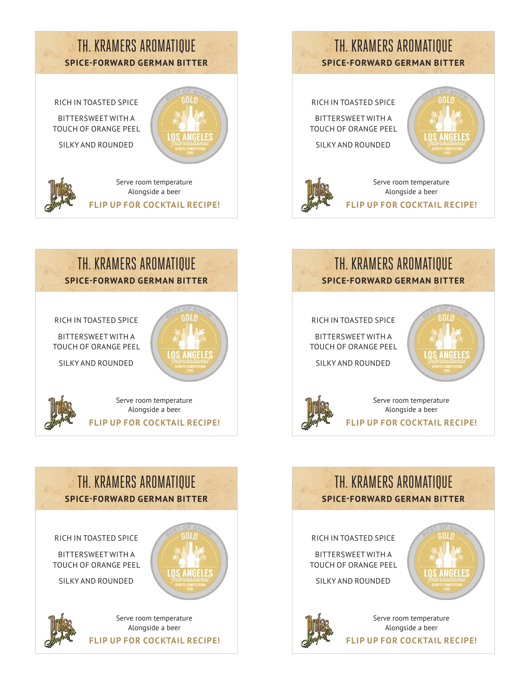